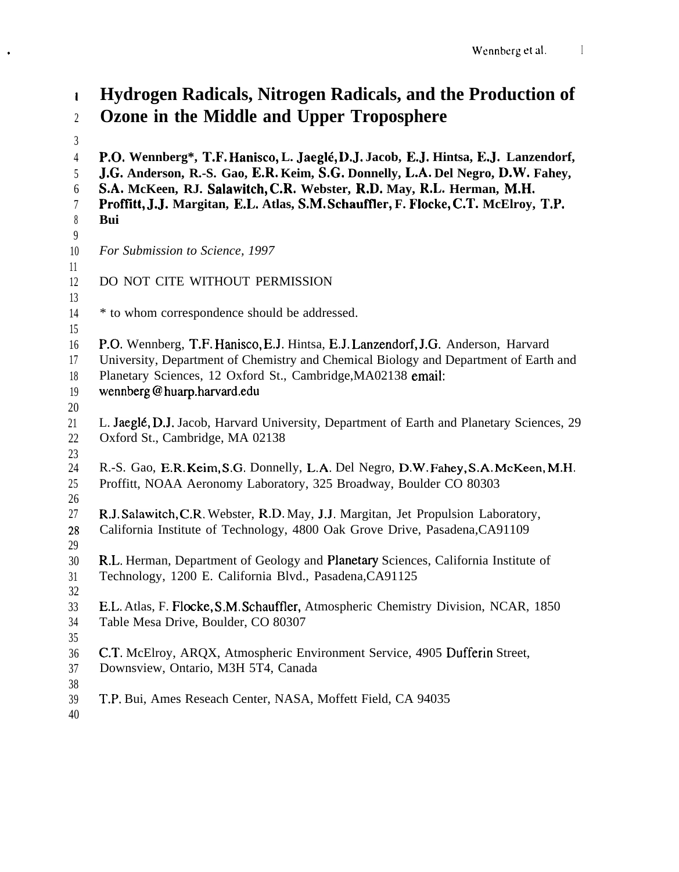# I 2 **Hydrogen Radicals, Nitrogen Radicals, and the Production of Ozone in the Middle and Upper Troposphere**

4 5 6 7 8 9 10 11 12 13 14 15 16 17 18 19 20 21 22 23 24 25 26 27 28 29 30 31 32 33 34 35 36 37 38 39 **P.O. Wennberg\*, T.F. Hanisco, L. Jaeg14, D.J. Jacob, E.J. Hintsa, E.J. Lanzendorf, J.G. Anderson, R.-S. Gao, E.R. Keim, S.G. Donnelly, L.A. Del Negro, D.W. Fahey, S.A. McKeen, RJ. Salawitch, C.R. Webster, R.D. May, R.L. Herman, M.H. Proftltt, J.J. Margitan, E.L. Atlas, S.M. Schauffler, F. Flocke, C.T. McElroy, T.P. Bui** *For Submission to Science, 1997* DO NOT CITE WITHOUT PERMISSION \* to whom correspondence should be addressed. P.O. Wennberg, T.F. Hanisco, E.J. Hintsa, E.J. Lanzendorf, J.G. Anderson, Harvard University, Department of Chemistry and Chemical Biology and Department of Earth and Planetary Sciences, 12 Oxford St., Cambridge,MA02138 email: wennberg @ huarp.harvard.edu L. Jaeg16, D.J. Jacob, Harvard University, Department of Earth and Planetary Sciences, 29 Oxford St., Cambridge, MA 02138 R.-S. Gao, E.R. Keim, S.G. Donnelly, L.A. Del Negro, D.W. Fahey, S.A. McKeen, M.H. Proffitt, NOAA Aeronomy Laboratory, 325 Broadway, Boulder CO 80303 R.J. Salawitch, C.R. Webster, R.D. May, J.J. Margitan, Jet Propulsion Laboratory, California Institute of Technology, 4800 Oak Grove Drive, Pasadena,CA91109 R.L. Herman, Department of Geology and Planetary Sciences, California Institute of Technology, 1200 E. California Blvd., Pasadena,CA91125 E.L. Atlas, F. Flocke, S.M. Schauffler, Atmospheric Chemistry Division, NCAR, 1850 Table Mesa Drive, Boulder, CO 80307 C.T. McElroy, ARQX, Atmospheric Environment Service, 4905 Dufferin Street, Downsview, Ontario, M3H 5T4, Canada T.P. Bui, Ames Reseach Center, NASA, Moffett Field, CA 94035

40

\*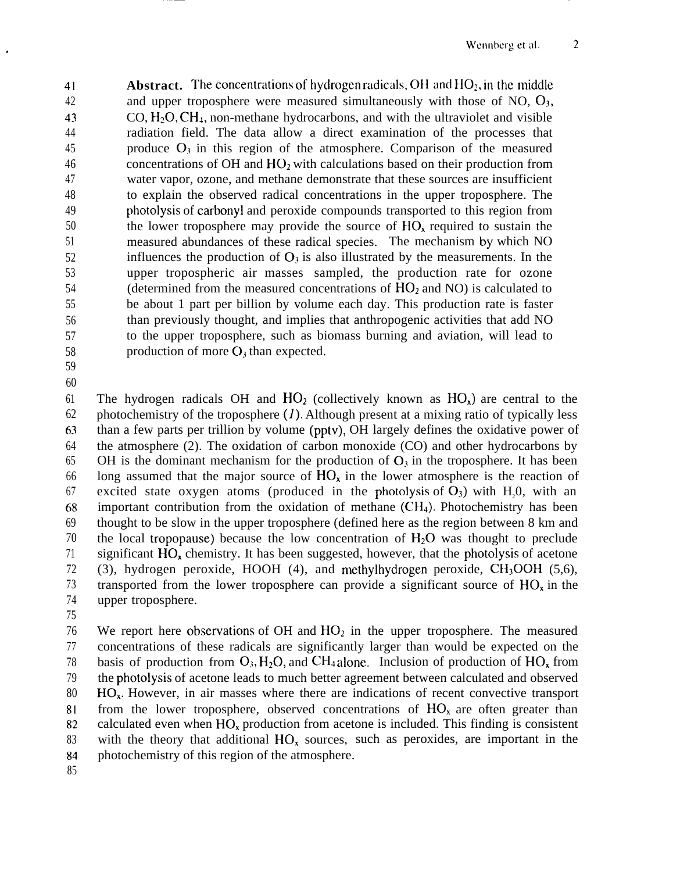$\overline{2}$ 

41 42 43 44 45 46 47 48 49 50 51 52 53 54 55 56 57 58 59 **Abstract.** The concentrations of hydrogen radicals, OH and  $HO_2$ , in the middle and upper troposphere were measured simultaneously with those of NO,  $O_3$ ,  $CO, H<sub>2</sub>O, CH<sub>4</sub>$ , non-methane hydrocarbons, and with the ultraviolet and visible radiation field. The data allow a direct examination of the processes that produce  $O_3$  in this region of the atmosphere. Comparison of the measured concentrations of OH and  $HO<sub>2</sub>$  with calculations based on their production from water vapor, ozone, and methane demonstrate that these sources are insufficient to explain the observed radical concentrations in the upper troposphere. The photolysis of carbonyl and peroxide compounds transported to this region from the lower troposphere may provide the source of  $HO<sub>x</sub>$  required to sustain the measured abundances of these radical species. The mechanism by which NO influences the production of  $O_3$  is also illustrated by the measurements. In the upper tropospheric air masses sampled, the production rate for ozone (determined from the measured concentrations of  $HO<sub>2</sub>$  and NO) is calculated to be about 1 part per billion by volume each day. This production rate is faster than previously thought, and implies that anthropogenic activities that add NO to the upper troposphere, such as biomass burning and aviation, will lead to production of more  $O_3$  than expected.

60

61 62 63 64 65 66 67 68 69 70 71 72 73 74 The hydrogen radicals OH and  $HO_2$  (collectively known as  $HO_x$ ) are central to the photochemistry of the troposphere  $(1)$ . Although present at a mixing ratio of typically less than a few parts per trillion by volume (pptv), OH largely defines the oxidative power of the atmosphere (2). The oxidation of carbon monoxide (CO) and other hydrocarbons by OH is the dominant mechanism for the production of  $O_3$  in the troposphere. It has been long assumed that the major source of  $HO<sub>x</sub>$  in the lower atmosphere is the reaction of excited state oxygen atoms (produced in the photolysis of  $O_3$ ) with H<sub>1</sub>0, with an important contribution from the oxidation of methane  $(CH_4)$ . Photochemistry has been thought to be slow in the upper troposphere (defined here as the region between 8 km and the local tropopause) because the low concentration of  $H_2O$  was thought to preclude significant  $HO_x$  chemistry. It has been suggested, however, that the photolysis of acetone (3), hydrogen peroxide, HOOH (4), and methylhydrogen peroxide,  $CH_3OOH$  (5.6), transported from the lower troposphere can provide a significant source of  $HO_x$  in the upper troposphere.

75

76 77 78 79 80 81 82 83 84 We report here observations of OH and  $HO<sub>2</sub>$  in the upper troposphere. The measured concentrations of these radicals are significantly larger than would be expected on the basis of production from  $O_3$ , H<sub>2</sub>O, and CH<sub>4</sub> alone. Inclusion of production of HO<sub>x</sub> from the photolysis of acetone leads to much better agreement between calculated and observed HO<sub>x</sub>. However, in air masses where there are indications of recent convective transport from the lower troposphere, observed concentrations of  $HO<sub>x</sub>$  are often greater than calculated even when  $HO_x$  production from acetone is included. This finding is consistent with the theory that additional  $HO_x$  sources, such as peroxides, are important in the photochemistry of this region of the atmosphere.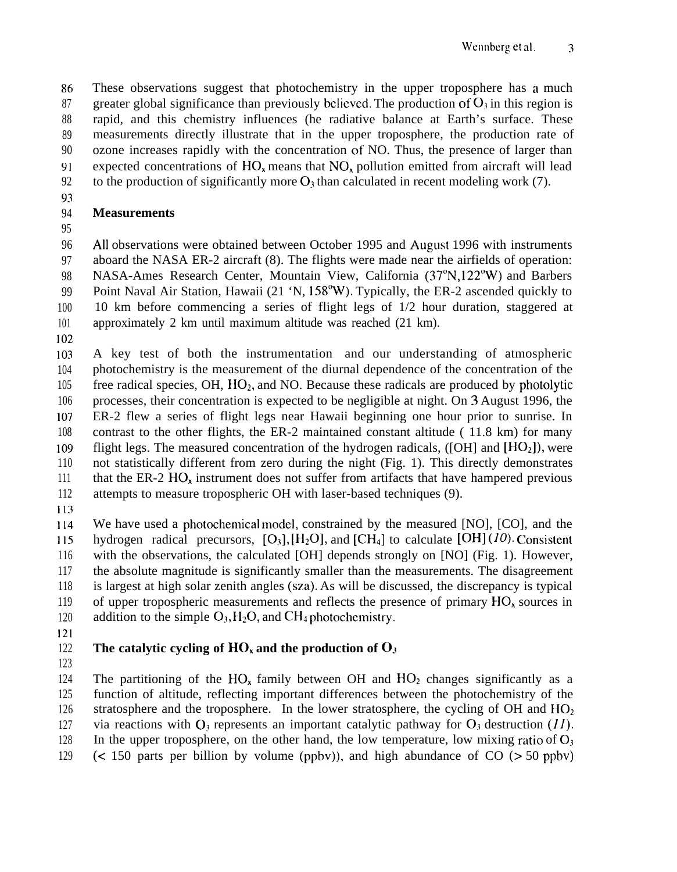86 87 88 89 90 91 These observations suggest that photochemistry in the upper troposphere has a much greater global significance than previously believed. The production of  $O_3$  in this region is rapid, and this chemistry influences (he radiative balance at Earth's surface. These measurements directly illustrate that in the upper troposphere, the production rate of ozone increases rapidly with the concentration of NO. Thus, the presence of larger than expected concentrations of  $HO<sub>x</sub>$  means that  $NO<sub>x</sub>$  pollution emitted from aircraft will lead

- 92 to the production of significantly more  $O_3$  than calculated in recent modeling work (7).
- 93

### 94 95 **Measurements**

96 97 98 99 100 101 All observations were obtained between October 1995 and August 1996 with instruments aboard the NASA ER-2 aircraft (8). The flights were made near the airfields of operation: NASA-Ames Research Center, Mountain View, California (37°N, 122°W) and Barbers Point Naval Air Station, Hawaii (21 'N, 158<sup>o</sup>W). Typically, the ER-2 ascended quickly to 10 km before commencing a series of flight legs of 1/2 hour duration, staggered at approximately 2 km until maximum altitude was reached (21 km).

102

103 104 105 106 107 108 109 110 111 112 A key test of both the instrumentation and our understanding of atmospheric photochemistry is the measurement of the diurnal dependence of the concentration of the free radical species,  $OH$ ,  $HO<sub>2</sub>$ , and  $NO$ . Because these radicals are produced by photolytic processes, their concentration is expected to be negligible at night. On 3 August 1996, the ER-2 flew a series of flight legs near Hawaii beginning one hour prior to sunrise. In contrast to the other flights, the ER-2 maintained constant altitude ( 11.8 km) for many flight legs. The measured concentration of the hydrogen radicals, ([OH] and  $[HO_2]$ ], were not statistically different from zero during the night (Fig. 1). This directly demonstrates that the ER-2  $HO_x$  instrument does not suffer from artifacts that have hampered previous attempts to measure tropospheric OH with laser-based techniques (9).

113

114 115 116 117 118 119 120 We have used a photochemical model, constrained by the measured [NO], [CO], and the hydrogen radical precursors,  $[O_3]$ ,  $[H_2O]$ , and  $[CH_4]$  to calculate  $[OH](10)$ . Consistent with the observations, the calculated [OH] depends strongly on [NO] (Fig. 1). However, the absolute magnitude is significantly smaller than the measurements. The disagreement is largest at high solar zenith angles (sza). As will be discussed, the discrepancy is typical of upper tropospheric measurements and reflects the presence of primary  $HO<sub>x</sub>$  sources in addition to the simple  $O_3$ ,  $H_2O$ , and  $CH_4$  photochemistry.

121

#### 122 The catalytic cycling of  $HO_x$  and the production of  $O_3$

123 124 125 126 127 128 129 The partitioning of the  $HO_x$  family between OH and  $HO_2$  changes significantly as a function of altitude, reflecting important differences between the photochemistry of the stratosphere and the troposphere. In the lower stratosphere, the cycling of  $OH$  and  $HO<sub>2</sub>$ via reactions with  $O_3$  represents an important catalytic pathway for  $O_3$  destruction (11). In the upper troposphere, on the other hand, the low temperature, low mixing ratio of  $O<sub>3</sub>$ ( $\leq$  150 parts per billion by volume (ppbv)), and high abundance of CO ( $>$  50 ppbv)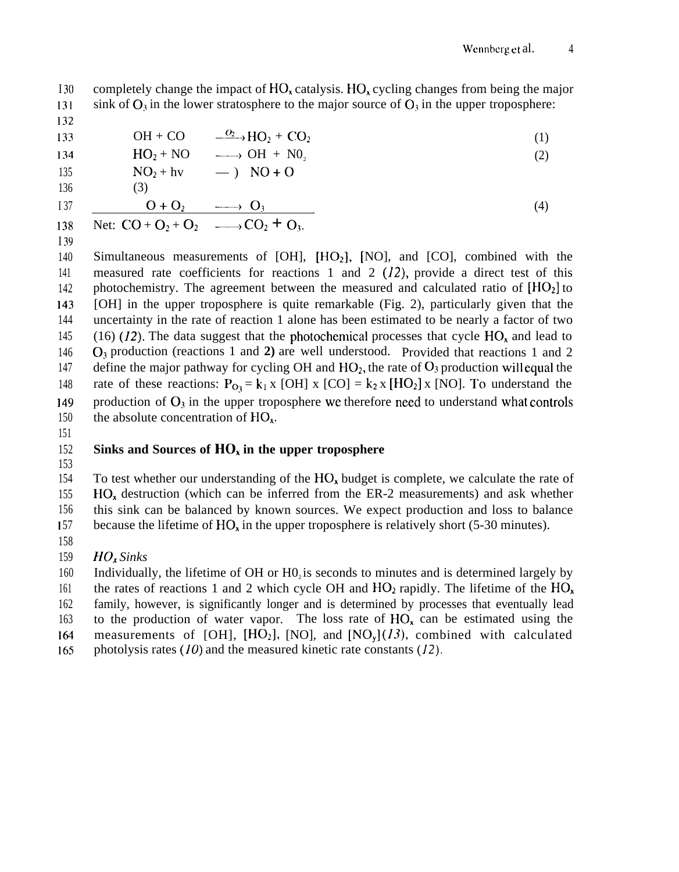(2)

(4)

I <sup>30</sup> 131 completely change the impact of  $HO_x$  catalysis. HO<sub>x</sub> cycling changes from being the major sink of  $O_3$  in the lower stratosphere to the major source of  $O_3$  in the upper troposphere:

132

133

$$
\text{OH} + \text{CO} \qquad \xrightarrow{\text{O}_2} \text{HO}_2 + \text{CO}_2 \tag{1}
$$

| 134 | $HO_2 + NO$ | $—$ | $OH + NO_2$ |
|-----|-------------|-----|-------------|
| 135 | $NO_2 + hv$ | $—$ | $NO + O$    |
| 136 | (3)         |     |             |

136

$$
I\,37
$$

$$
\frac{137}{138} \quad \frac{O + O_2 \longrightarrow O_3}{\text{Net: } CO + O_2 + O_2 \longrightarrow CO_2 + O_3.}
$$

I 39

140 141 142 143 144 145 146 147 148 149 150 Simultaneous measurements of  $[OH]$ ,  $[HO_2]$ ,  $[NO]$ , and  $[CO]$ , combined with the measured rate coefficients for reactions 1 and 2  $(12)$ , provide a direct test of this photochemistry. The agreement between the measured and calculated ratio of  $[HO_2]$  to [OH] in the upper troposphere is quite remarkable (Fig. 2), particularly given that the uncertainty in the rate of reaction 1 alone has been estimated to be nearly a factor of two (16) (12). The data suggest that the photochemical processes that cycle  $HO<sub>x</sub>$  and lead to  $O_3$  production (reactions 1 and 2) are well understood. Provided that reactions 1 and 2 define the major pathway for cycling OH and  $HO<sub>2</sub>$ , the rate of  $O<sub>3</sub>$  production will equal the rate of these reactions:  $P_{Q_2} = k_1 x$  [OH] x [CO] =  $k_2 x$  [HO<sub>2</sub>] x [NO]. To understand the production of  $O_3$  in the upper troposphere we therefore need to understand what controls the absolute concentration of  $HO<sub>x</sub>$ .

151

#### 152 **Sinks and Sources of HO, in the upper troposphere**

153

154 155 156 I 57 To test whether our understanding of the  $HO_x$  budget is complete, we calculate the rate of HO<sub>x</sub> destruction (which can be inferred from the ER-2 measurements) and ask whether this sink can be balanced by known sources. We expect production and loss to balance because the lifetime of  $HO_x$  in the upper troposphere is relatively short (5-30 minutes).

- 158
- 159 *HO. Sinks*

160 161 162 163 I&l 165 Individually, the lifetime of OH or H0, is seconds to minutes and is determined largely by the rates of reactions 1 and 2 which cycle OH and  $HO_2$  rapidly. The lifetime of the  $HO<sub>x</sub>$ family, however, is significantly longer and is determined by processes that eventually lead to the production of water vapor. The loss rate of  $HO<sub>x</sub>$  can be estimated using the measurements of [OH],  $[HO_2]$ , [NO], and  $[NO_v](13)$ , combined with calculated photolysis rates  $(10)$  and the measured kinetic rate constants  $(12)$ .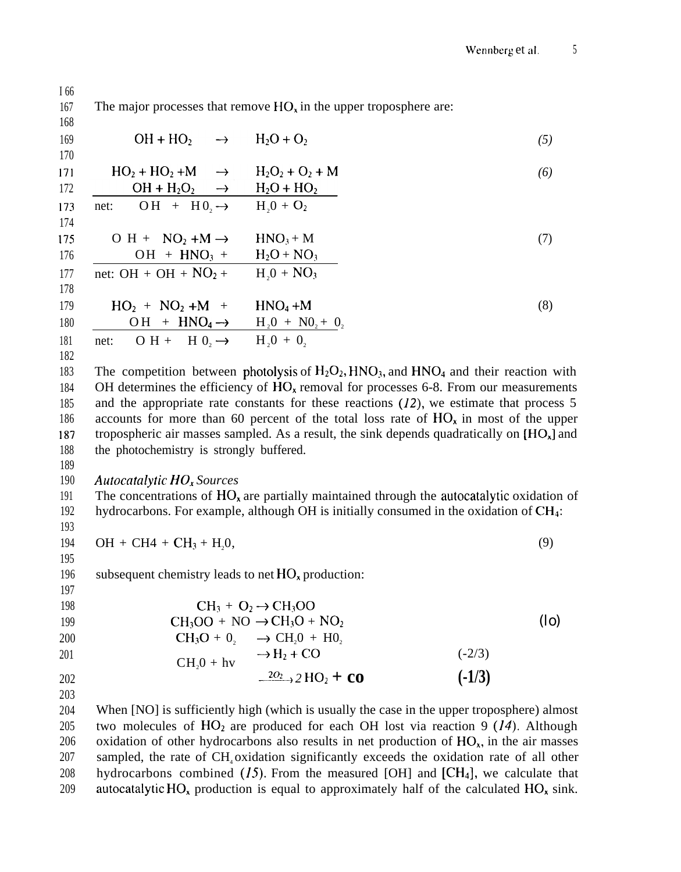The major processes that remove  $HO<sub>x</sub>$  in the upper troposphere are: 167 168  $OH + HO<sub>2</sub>$  $\rightarrow$  H<sub>2</sub>O + O<sub>2</sub> 169 *(5)* 170 171  $HO<sub>2</sub> + HO<sub>2</sub> + M$  $\rightarrow$  $H_2O_2 + O_2 + M$ *(6)*  $\frac{OH + H_2O_2 \rightarrow H_2O + HO_2}{OH + H_0}$ <br>net:  $OH + H_0 \rightarrow H_0 + O_2$ 172 173 174 175  $O H + NO_2 + M \rightarrow HNO_3 + M$ (7) 176  $OH + HNO<sub>3</sub> + H<sub>2</sub>O + NO<sub>3</sub>$ 177 net: OH + OH +  $NO<sub>2</sub>$  + H<sub>2</sub>0 + NO<sub>3</sub> 178  $HO_2 + NO_2 + M + HNO_4 + M$  (8) 179 180  $OH + HNO<sub>4</sub> \rightarrow H<sub>2</sub>0 + NO<sub>2</sub> + O<sub>2</sub>$ net: O H + H  $0_2 \rightarrow$  H<sub>2</sub>O + O<sub>2</sub> 181 182 183 The competition between photolysis of  $H_2O_2$ ,  $HNO_3$ , and  $HNO_4$  and their reaction with OH determines the efficiency of  $HO<sub>x</sub>$  removal for processes 6-8. From our measurements 184 and the appropriate rate constants for these reactions  $(12)$ , we estimate that process 5 185 186 accounts for more than 60 percent of the total loss rate of  $HO_x$  in most of the upper 187 tropospheric air masses sampled. As a result, the sink depends quadratically on  $[HO_x]$  and 188 the photochemistry is strongly buffered. 189 190 *Autocatalytic HO. Sources* The concentrations of  $HO<sub>x</sub>$  are partially maintained through the autocatalytic oxidation of 191 192 hydrocarbons. For example, although OH is initially consumed in the oxidation of  $CH_4$ : 193  $OH + CH4 + CH<sub>3</sub> + H<sub>2</sub>0$ , (9) 194 195 subsequent chemistry leads to net  $HO<sub>x</sub>$  production: 196 197  $CH_3 + O_2 \rightarrow CH_3OO$ 198  $CH<sub>3</sub>OO + NO \rightarrow CH<sub>3</sub>O + NO<sub>2</sub>$ 199 (lo) 200  $CH_3O + 0_2 \rightarrow CH_2O + HO_2$  $CH<sub>2</sub>0 + hy$   $\rightarrow H<sub>2</sub> + CC$ 201  $(-2/3)$  $\frac{2O_2}{\sqrt{3}}$  2 **HO**<sub>2</sub> + **co (-1/3)** 202 203 204 When [NO] is sufficiently high (which is usually the case in the upper troposphere) almost

205 206 207 208 209 two molecules of  $HO<sub>2</sub>$  are produced for each OH lost via reaction 9 (14). Although oxidation of other hydrocarbons also results in net production of  $HO<sub>x</sub>$ , in the air masses sampled, the rate of CH<sub>4</sub> oxidation significantly exceeds the oxidation rate of all other hydrocarbons combined  $(15)$ . From the measured [OH] and  $[CH_4]$ , we calculate that autocatalytic HO<sub>x</sub> production is equal to approximately half of the calculated HO<sub>x</sub> sink.

I 66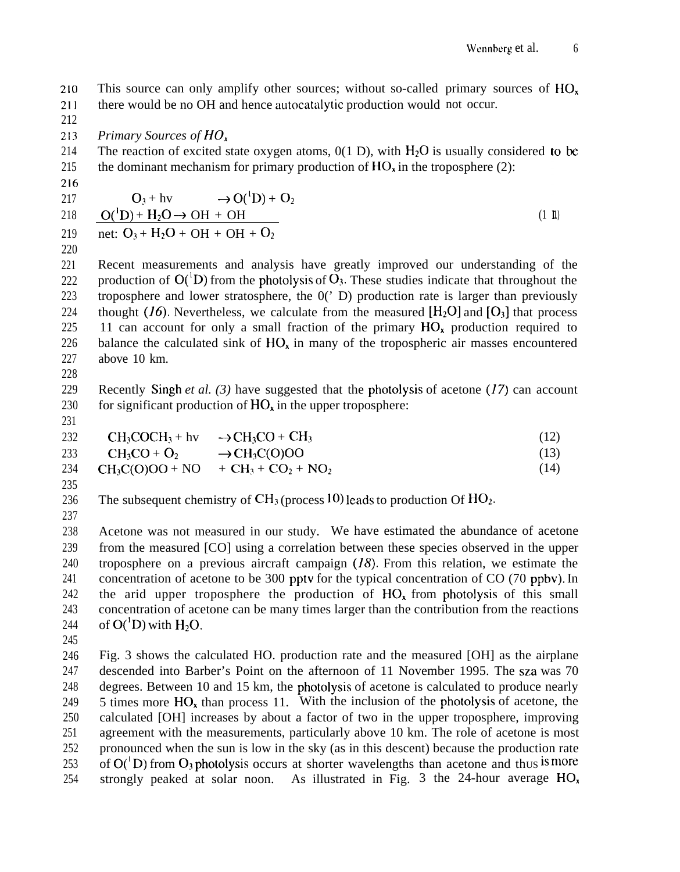210 211 This source can only amplify other sources; without so-called primary sources of HO<sub>x</sub> there would be no OH and hence autocatalytic production would not occur.

213 *Primary Sources of HO<sub>x</sub>* 

214 215 The reaction of excited state oxygen atoms,  $0(1 \text{ D})$ , with  $H_2O$  is usually considered to be the dominant mechanism for primary production of  $HO_x$  in the troposphere (2):

216

212

$$
O_3 + hv \rightarrow O(^1D) + O_2
$$
  
218 
$$
O(^1D) + H_2O \rightarrow OH + OH
$$
  
219 net:  $O_3 + H_2O + OH + OH + O_2$  (1 h)

220

221 222 223 224 225 226 227 Recent measurements and analysis have greatly improved our understanding of the production of  $O(^1D)$  from the photolysis of  $O_3$ . These studies indicate that throughout the troposphere and lower stratosphere, the 0(' D) production rate is larger than previously thought  $(I6)$ . Nevertheless, we calculate from the measured  $[H_2O]$  and  $[O_3]$  that process 11 can account for only a small fraction of the primary  $HO_{x}$  production required to balance the calculated sink of  $HO_x$  in many of the tropospheric air masses encountered above 10 km.

228

229 230 Recently Singh *et al. (3)* have suggested that the photolysis of acetone (17) can account for significant production of  $HO_x$  in the upper troposphere:

231

232  $CH_3COCH_3 + hy \rightarrow CH_3CO + CH_3$  (12)

233  $CH_3CO + O_2 \rightarrow CH_3C(O)OO$  (13)

234 235  $CH_3C(O)OO + NO + CH_3 + CO_2 + NO_2$  (14)

236 The subsequent chemistry of  $CH_3$  (process 10) leads to production Of  $HO_2$ .

237

238 239 240 241 242 243 244 Acetone was not measured in our study. We have estimated the abundance of acetone from the measured [CO] using a correlation between these species observed in the upper troposphere on a previous aircraft campaign  $(18)$ . From this relation, we estimate the concentration of acetone to be 300 pptv for the typical concentration of CO (70 ppbv). In the arid upper troposphere the production of  $HO<sub>x</sub>$  from photolysis of this small concentration of acetone can be many times larger than the contribution from the reactions of  $O(^1D)$  with  $H_2O$ .

245

246 247 248 249 250 251 252 253 254 Fig. 3 shows the calculated HO. production rate and the measured [OH] as the airplane descended into Barber's Point on the afternoon of 11 November 1995. The sza was 70 degrees. Between 10 and 15 km, the photolysis of acetone is calculated to produce nearly 5 times more  $HO_x$  than process 11. With the inclusion of the photolysis of acetone, the calculated [OH] increases by about a factor of two in the upper troposphere, improving agreement with the measurements, particularly above 10 km. The role of acetone is most pronounced when the sun is low in the sky (as in this descent) because the production rate of  $O(^1D)$  from  $O_3$  photolysis occurs at shorter wavelengths than acetone and thus is more strongly peaked at solar noon. As illustrated in Fig. 3 the 24-hour average  $HO_x$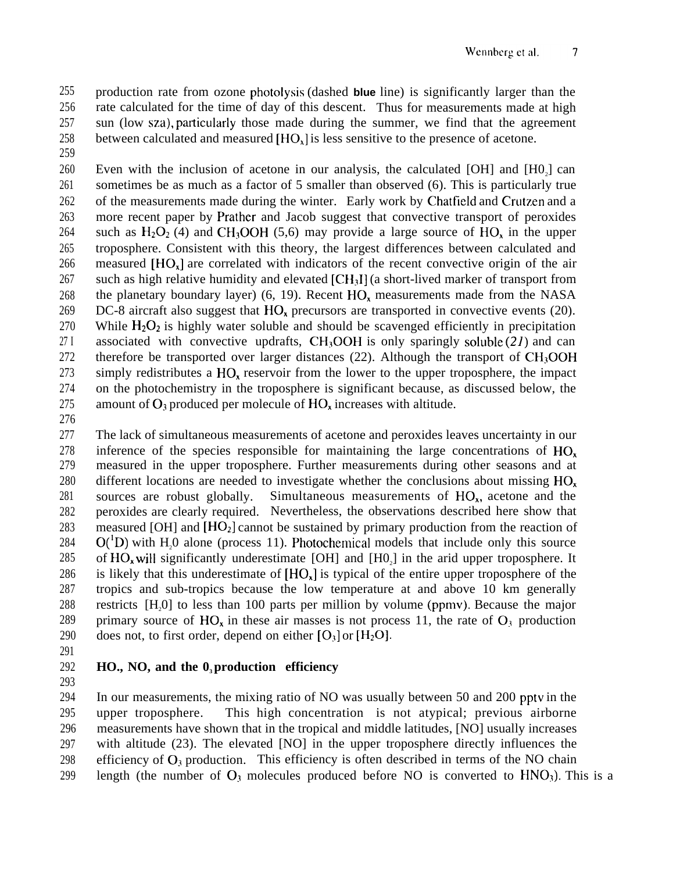255 256 257 258 production rate from ozone photolysis (dashed **blue** line) is significantly larger than the rate calculated for the time of day of this descent. Thus for measurements made at high sun (low sza), particularly those made during the summer, we find that the agreement between calculated and measured  $[HO<sub>x</sub>]$  is less sensitive to the presence of acetone.

259

260 261 262 263 264 265 266 267 268 269 270 27 I 272 273 274 275 Even with the inclusion of acetone in our analysis, the calculated [OH] and  $[H0<sub>2</sub>]$  can sometimes be as much as a factor of 5 smaller than observed (6). This is particularly true of the measurements made during the winter. Early work by Chatfield and Crutzen and a more recent paper by Prather and Jacob suggest that convective transport of peroxides such as  $H_2O_2$  (4) and CH<sub>3</sub>OOH (5,6) may provide a large source of HO<sub>x</sub> in the upper troposphere. Consistent with this theory, the largest differences between calculated and measured [HO.] are correlated with indicators of the recent convective origin of the air such as high relative humidity and elevated  $[CH_3]$  (a short-lived marker of transport from the planetary boundary layer) (6, 19). Recent  $HO_x$  measurements made from the NASA DC-8 aircraft also suggest that  $HO<sub>x</sub>$  precursors are transported in convective events (20). While  $H_2O_2$  is highly water soluble and should be scavenged efficiently in precipitation associated with convective updrafts,  $CH<sub>3</sub>OOH$  is only sparingly soluble (21) and can therefore be transported over larger distances  $(22)$ . Although the transport of CH<sub>3</sub>OOH simply redistributes a  $HO<sub>x</sub>$  reservoir from the lower to the upper troposphere, the impact on the photochemistry in the troposphere is significant because, as discussed below, the amount of  $O_3$  produced per molecule of  $HO_x$  increases with altitude.

276

277 278 279 280 281 282 283 284 285 286 287 288 289 290 The lack of simultaneous measurements of acetone and peroxides leaves uncertainty in our inference of the species responsible for maintaining the large concentrations of  $HO<sub>x</sub>$ measured in the upper troposphere. Further measurements during other seasons and at different locations are needed to investigate whether the conclusions about missing  $HO<sub>x</sub>$ sources are robust globally. Simultaneous measurements of  $HO<sub>x</sub>$ , acetone and the peroxides are clearly required. Nevertheless, the observations described here show that measured [OH] and  $[HO_2]$  cannot be sustained by primary production from the reaction of  $O({}^1D)$  with H<sub>2</sub>O alone (process 11). Photochemical models that include only this source of  $HO_x$  will significantly underestimate [OH] and  $[H0_2]$  in the arid upper troposphere. It is likely that this underestimate of  $[HQ<sub>v</sub>]$  is typical of the entire upper troposphere of the tropics and sub-tropics because the low temperature at and above 10 km generally restricts  $[H,0]$  to less than 100 parts per million by volume (ppmv). Because the major primary source of  $HO_x$  in these air masses is not process 11, the rate of  $O_3$  production does not, to first order, depend on either  $[O_3]$  or  $[H_2O]$ .

291

293

#### 292 **HO., NO, and the 03 production efficiency**

294 295 296 297 298 299 In our measurements, the mixing ratio of NO was usually between 50 and 200 pptv in the upper troposphere. This high concentration is not atypical; previous airborne measurements have shown that in the tropical and middle latitudes, [NO] usually increases with altitude (23). The elevated [NO] in the upper troposphere directly influences the efficiency of  $O_3$  production. This efficiency is often described in terms of the NO chain length (the number of  $O_3$  molecules produced before NO is converted to  $HNO_3$ ). This is a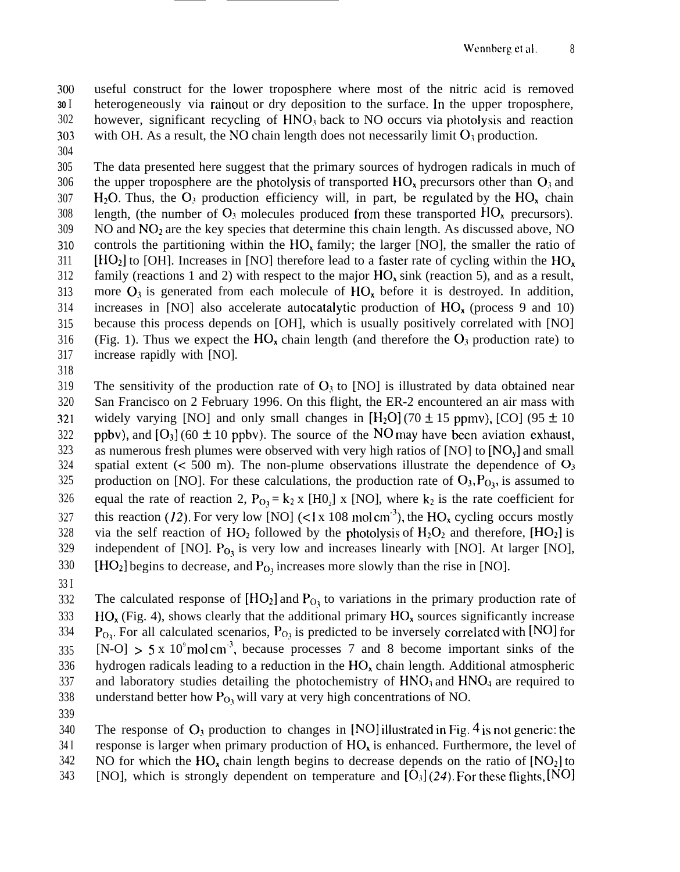300 **30** I 302 303 useful construct for the lower troposphere where most of the nitric acid is removed heterogeneously via rainout or dry deposition to the surface. In the upper troposphere, however, significant recycling of  $HNO<sub>3</sub>$  back to NO occurs via photolysis and reaction with OH. As a result, the NO chain length does not necessarily limit  $O_3$  production.

304

305 306 307 308 309 310 311 312 313 314 315 316 317 The data presented here suggest that the primary sources of hydrogen radicals in much of the upper troposphere are the photolysis of transported  $HO<sub>x</sub>$  precursors other than  $O<sub>3</sub>$  and H<sub>2</sub>O. Thus, the O<sub>3</sub> production efficiency will, in part, be regulated by the HO<sub>x</sub> chain length, (the number of  $O_3$  molecules produced from these transported  $HO_x$  precursors).  $NO$  and  $NO<sub>2</sub>$  are the key species that determine this chain length. As discussed above, NO controls the partitioning within the  $HO<sub>x</sub>$  family; the larger [NO], the smaller the ratio of  $[HO<sub>2</sub>]$  to [OH]. Increases in [NO] therefore lead to a faster rate of cycling within the HO<sub>x</sub> family (reactions 1 and 2) with respect to the major  $HO_x \sin k$  (reaction 5), and as a result, more  $O_3$  is generated from each molecule of  $HO_x$  before it is destroyed. In addition, increases in [NO] also accelerate autocatalytic production of  $HO_{x}$  (process 9 and 10) because this process depends on [OH], which is usually positively correlated with [NO] (Fig. 1). Thus we expect the  $HO_x$  chain length (and therefore the  $O_3$  production rate) to increase rapidly with [NO].

318

319 320 321 322 323 324 325 326 327 328 329 330 The sensitivity of the production rate of  $O_3$  to [NO] is illustrated by data obtained near San Francisco on 2 February 1996. On this flight, the ER-2 encountered an air mass with widely varying [NO] and only small changes in  $[H_2O]$  (70  $\pm$  15 ppmy), [CO] (95  $\pm$  10 ppbv), and  $[O_3]$  (60  $\pm$  10 ppbv). The source of the NO may have been aviation exhaust, as numerous fresh plumes were observed with very high ratios of  $[NO]$  to  $[NO<sub>v</sub>]$  and small spatial extent ( $\lt$  500 m). The non-plume observations illustrate the dependence of  $O_3$ production on [NO]. For these calculations, the production rate of  $O_3$ ,  $P_{O_3}$ , is assumed to equal the rate of reaction 2,  $P_{O_3} = k_2 x$  [H0<sub>2</sub>] x [NO], where  $k_2$  is the rate coefficient for this reaction (12). For very low [NO] (<1 x 108 mol cm<sup>-3</sup>), the HO<sub>x</sub> cycling occurs mostly via the self reaction of  $HO_2$  followed by the photolysis of  $H_2O_2$  and therefore,  $[HO_2]$  is independent of [NO].  $P_{O_3}$  is very low and increases linearly with [NO]. At larger [NO],  $[HO<sub>2</sub>]$  begins to decrease, and  $P<sub>O<sub>3</sub></sub>$  increases more slowly than the rise in [NO].

33 I

332 333 334 335 336 337 338 The calculated response of  $[HO_2]$  and  $P_{O_1}$  to variations in the primary production rate of  $HO<sub>x</sub>$  (Fig. 4), shows clearly that the additional primary  $HO<sub>x</sub>$  sources significantly increase  $P_{Q_1}$ . For all calculated scenarios,  $P_{Q_1}$  is predicted to be inversely correlated with [NO] for  $[N-O] > 5 \times 10^9$  mol cm<sup>-3</sup>, because processes 7 and 8 become important sinks of the hydrogen radicals leading to a reduction in the HO, chain length. Additional atmospheric and laboratory studies detailing the photochemistry of  $HNO<sub>3</sub>$  and  $HNO<sub>4</sub>$  are required to understand better how  $P_{O_3}$  will vary at very high concentrations of NO.

339

340 34 I The response of  $O_3$  production to changes in [NO] illustrated in Fig. 4 is not generic: the response is larger when primary production of  $HO<sub>x</sub>$  is enhanced. Furthermore, the level of

342 NO for which the  $HO_x$  chain length begins to decrease depends on the ratio of  $[NO_2]$  to

343 [NO], which is strongly dependent on temperature and  $[O<sub>3</sub>](24)$ . For these flights, [NO]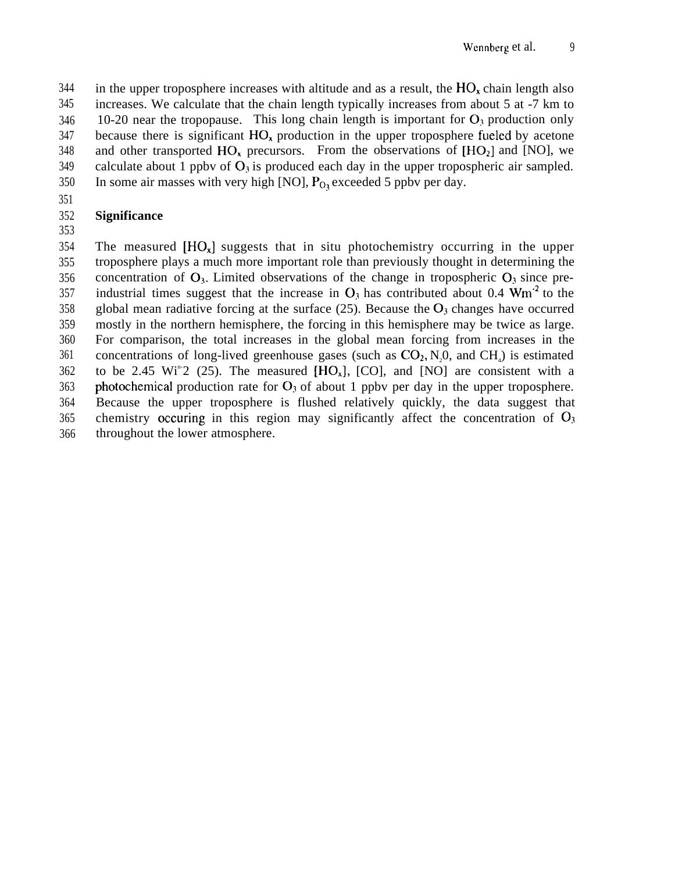344 345 346 347 348 349 350 in the upper troposphere increases with altitude and as a result, the  $HO<sub>v</sub>$  chain length also increases. We calculate that the chain length typically increases from about 5 at -7 km to 10-20 near the tropopause. This long chain length is important for  $O_3$  production only because there is significant  $HO<sub>x</sub>$  production in the upper troposphere fueled by acetone and other transported  $HO_x$  precursors. From the observations of  $[HO_2]$  and  $[NO]$ , we calculate about 1 ppby of  $O_3$  is produced each day in the upper tropospheric air sampled. In some air masses with very high [NO],  $P<sub>O</sub>$ , exceeded 5 ppbv per day.

# 351

## 352 353 **Significance**

354 355 356 357 358 359 360 361 362 363 364 365 366 The measured  $[HO_x]$  suggests that in situ photochemistry occurring in the upper troposphere plays a much more important role than previously thought in determining the concentration of  $O_3$ . Limited observations of the change in tropospheric  $O_3$  since preindustrial times suggest that the increase in  $O_3$  has contributed about 0.4 Wm<sup>-2</sup> to the global mean radiative forcing at the surface  $(25)$ . Because the  $O_3$  changes have occurred mostly in the northern hemisphere, the forcing in this hemisphere may be twice as large. For comparison, the total increases in the global mean forcing from increases in the concentrations of long-lived greenhouse gases (such as  $CO_2$ ,  $N_2O$ , and  $CH_4$ ) is estimated to be 2.45 Wi<sup>n-</sup>2 (25). The measured  $[HO_x]$ ,  $[CO]$ , and  $[NO]$  are consistent with a photochemical production rate for  $O_3$  of about 1 ppby per day in the upper troposphere. Because the upper troposphere is flushed relatively quickly, the data suggest that chemistry occuring in this region may significantly affect the concentration of  $O_3$ throughout the lower atmosphere.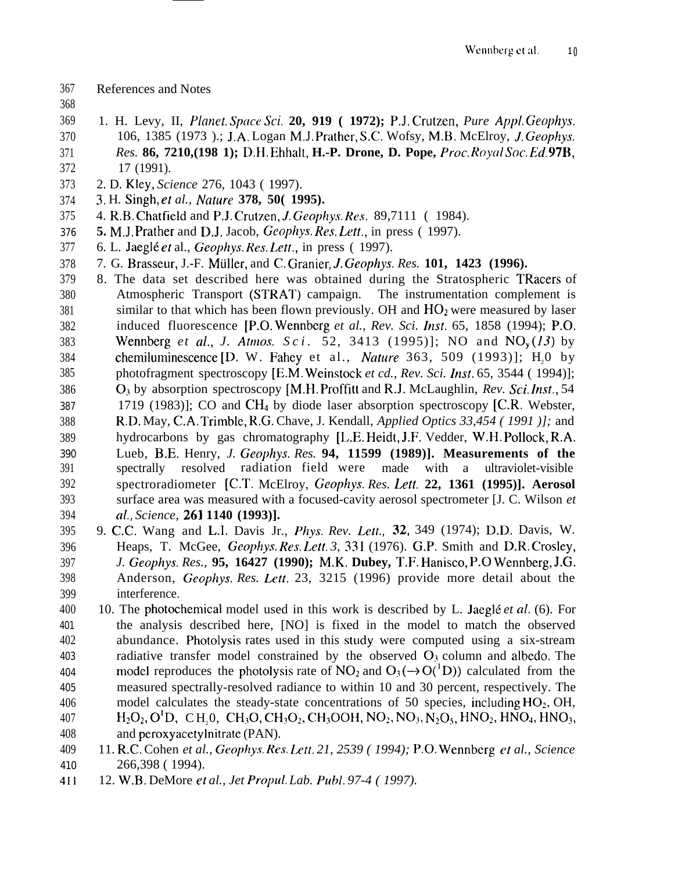- References and Notes
- 
- 1. H. Levy, II, Plmwf. *Space Sci.* **20, 919 ( 1972);** P.J. Crutzen, *Pure Appl. Geophys.* 106, 1385 (1973 ).; J.A. Logan M.J. Prather, S.C. Wofsy, M.B. McElroy, J. *Geophys. Res.* **86, 7210, (198 1);** D.H. Ehhalt, **H.-P. Drone, D. Pope,** *Proc. Royal Soc. Ed.* 97B,
- 17 (1991).
- 2. D. Kley, *Science* 276, 1043 ( 1997).
- 3. H. Singh, e? *al., Nature* **378, 50( 1995).**
- 375 4. R.B. Chatfield and P.J. Crutzen, *J. Geophys. Res.* 89,7111 (1984).
- **5.** M.J. Prather and D.J. Jacob, *Geophys. Res. Let[.,* in press ( 1997).
- 6. L. Jaeg16 et al., Geophys. Res. *Lett.,* in press ( 1997).
- 7. G. Brasseur, J.-F. Miiller, and C. Granier, J. *Geophys. Res.* **101, 1423 (1996).**
- 8. The data set described here was obtained during the Stratospheric TRacers of Atmospheric Transport (STRAT) campaign. The instrumentation complement is similar to that which has been flown previously. OH and  $HO<sub>2</sub>$  were measured by laser induced fluorescence [P.O. Wennberg *et al., Rev. Sci. Inst.* 65, 1858 (1994); P.O. 383 Wennberg *et al., J. Atmos. Sci.* 52, 3413 (1995)]; NO and NO<sub>v</sub>(13) by 384 chemiluminescence [D. W. Fahey et al., *Nature* 363, 509 (1993)]; H<sub>2</sub>0 by 385 photofragment spectroscopy [E.M. Weinstock et cd., Rev. Sci. Inst. 65, 3544 ( 1994)]; 386 O<sub>3</sub> by absorption spectroscopy [M.H. Proffitt and R.J. McLaughlin, *Rev. Sci. Inst.*, 54 1719 (1983)]; CO and CH4 by diode laser absorption spectroscopy [C.R. Webster, R.D. May, C.A. Trimble, R.G. Chave, J. Kendall, *Applied Optics 33,454 ( 1991 )];* and hydrocarbons by gas chromatography [L.E. Heidt, J.F. Vedder, W.H. Pollock, R.A. Lueb, B.E. Henry, *J. Geophys. Res.* **94, 11599 (1989)]. Measurements of the** spectrally resolved radiation field were made with a ultraviolet-visible spectroradiometer [C.T. McElroy, *Geophys. Res. Lett.* **22, 1361 (1995)]. Aerosol** surface area was measured with a focused-cavity aerosol spectrometer [J. C. Wilson *et* al., *Science,* **261 1140 (1993)].**
- 9. C.C. Wang and L.I. Davis Jr., *Phys. Rev. Lett.,* 32, 349 (1974); D.D. Davis, W. Heaps, T. McGee, *Geophys. Res. Lett. 3, 331* (1976). G.P. Smith and D.R. Crosley, *J. Geophys. Res.,* **95, 16427 (1990); M.K. Dubey, T.F. Hanisco, P.O Wennberg, J.G.** Anderson, *Geophys. Res. Lett.* 23, 3215 (1996) provide more detail about the interference.
- 400 10. The photochemical model used in this work is described by L. Jaeglé *et al.* (6). For the analysis described here, [NO] is fixed in the model to match the observed 402 abundance. Photolysis rates used in this study were computed using a six-stream 403 radiative transfer model constrained by the observed  $O_3$  column and albedo. The 404 model reproduces the photolysis rate of  $NO_2$  and  $O_3(\rightarrow O(^1D))$  calculated from the measured spectrally-resolved radiance to within 10 and 30 percent, respectively. The 406 model calculates the steady-state concentrations of 50 species, including  $HO_2$ , OH, 407 H<sub>2</sub>O<sub>2</sub>, O<sup>1</sup>D, CH<sub>3</sub>O, CH<sub>3</sub>O, CH<sub>3</sub>O<sub>2</sub>, CH<sub>3</sub>OOH, NO<sub>2</sub>, NO<sub>3</sub>, N<sub>2</sub>O<sub>5</sub>, HNO<sub>2</sub>, HNO<sub>4</sub>, HNO<sub>3</sub>, and peroxyacetylnitrate (PAN).
- 11. R.C. Cohen *et al., Geophys. Res. Lett. 21, 2539 ( 1994);* P.O. Wennberg et *al., Science* 266,398 ( 1994).
- 12. W.B. DeMore et *al., Jet Propul. Lab. Publ. 97-4 ( 1997).*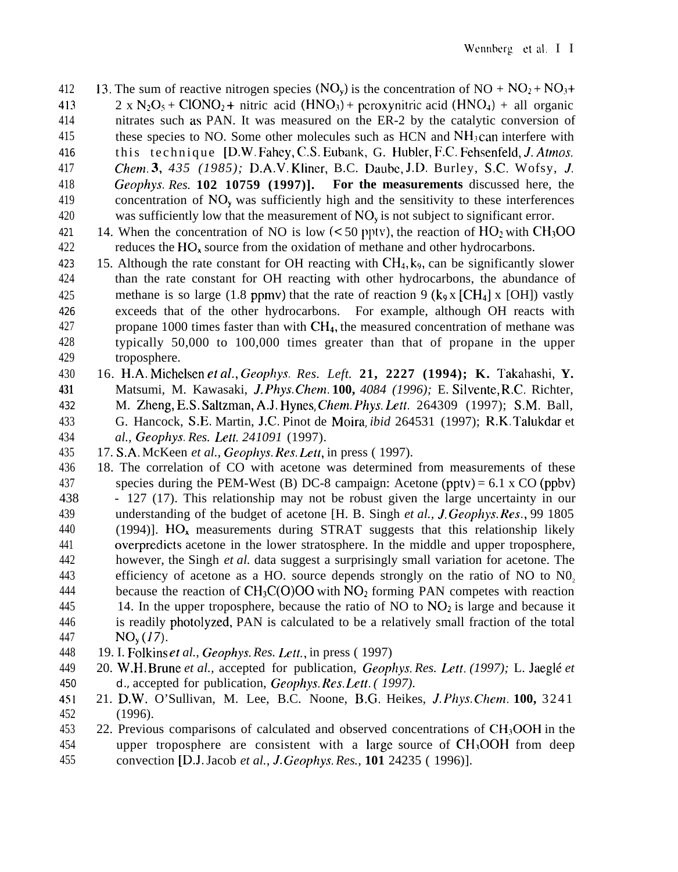- 412 13. The sum of reactive nitrogen species (NO<sub>v</sub>) is the concentration of NO +  $NO_2 + NO_3 +$ 413 2 x N<sub>2</sub>O<sub>5</sub> + ClONO<sub>2</sub> + nitric acid (HNO<sub>3</sub>) + peroxynitric acid (HNO<sub>4</sub>) + all organic 414 nitrates such as PAN. It was measured on the ER-2 by the catalytic conversion of 415 these species to NO. Some other molecules such as  $HCN$  and  $NH<sub>3</sub>$  can interfere with 416 this technique [D.W. Fahey, C.S. Eubank, G. Hubler, F.C. Fehsenfeld, J. *Atmos.* 417 *Chem. 3, 435 (1985);* D.A.V. Klincr, B.C. Daubc, J.D. Burley, S.C. Wofsy, J. 418 Geophys. *Res.* **102 10759 (1997)]. For the measurements** discussed here, the 419 concentration of  $NO<sub>v</sub>$  was sufficiently high and the sensitivity to these interferences 420 was sufficiently low that the measurement of  $NO<sub>v</sub>$  is not subject to significant error. 421 14. When the concentration of NO is low  $(< 50$  pptv), the reaction of HO<sub>2</sub> with CH<sub>3</sub>OO 422 reduces the  $HO_x$  source from the oxidation of methane and other hydrocarbons.
- 423 15. Although the rate constant for OH reacting with  $CH<sub>4</sub>$ , k<sub>9</sub>, can be significantly slower 424 than the rate constant for OH reacting with other hydrocarbons, the abundance of 425 methane is so large (1.8 ppmv) that the rate of reaction 9 ( $k_9$  x [CH<sub>4</sub>] x [OH]) vastly 426 exceeds that of the other hydrocarbons. For example, although OH reacts with 427 propane 1000 times faster than with CH4, the measured concentration of methane was 428 typically 50,000 to 100,000 times greater than that of propane in the upper 429 troposphere.
- 430 16. H.A. Michelsen et al., *Geophys. Res. Left.* **21, 2227 (1994); K. Takahashi, Y.** 431 Matsumi, M. Kawasaki, *J. Phys. Chem.* **100,** *4084* (1996); E. Silvente, R.C. Richter, 432 M. Zheng, E.S. Saltzman, A.J. Hynes, *Chem. Phys. Let(.* 264309 (1997); S.M. Ball, 433 G. Hancock, S.E. Martin, J.C. Pinot de Moira, *ibid* 264531 (1997); R.K. Talukdar et 434 *al., Geophys. Res. Lett. 241091* (1997).
- 435 17. S.A. McKeen *et al., Geophys. Res. Lett,* in press ( 1997).
- 436 18. The correlation of CO with acetone was determined from measurements of these 437 species during the PEM-West (B) DC-8 campaign: Acetone (pptv) = 6.1 x CO (ppbv) 438 - 127 (17). This relationship may not be robust given the large uncertainty in our 439 understanding of the budget of acetone [H. B. Singh *et al., J. Geophys. Res.,* 99 1805 440 (1994)].  $HO_x$  measurements during STRAT suggests that this relationship likely 441 overpredicts acetone in the lower stratosphere. In the middle and upper troposphere, 442 however, the Singh *et al.* data suggest a surprisingly small variation for acetone. The 443 efficiency of acetone as a HO. source depends strongly on the ratio of NO to NO<sub>2</sub> 444 because the reaction of  $CH_3C(O)OO$  with  $NO_2$  forming PAN competes with reaction 445 14. In the upper troposphere, because the ratio of NO to  $NO<sub>2</sub>$  is large and because it 446 is readily photolyzed, PAN is calculated to be a relatively small fraction of the total 447  $NO_v (17)$ .
- 448 19. I. Folkins et *al., Geophys. Res. Lett.,* in press ( 1997)
- 449 20. W.H. Brune *et al.,* accepted for publication, *Geophys. Res. Lett. (1997);* L. Jaeg16 *et* 450 d., accepted for publication, Geophys. Res. *Lett. ( 1997).*
- 451 21. D.W. O'Sullivan, M. Lee, B.C. Noone, B.G. Heikes, J. *Phys. Chern.* **100,** 3241 452 (1996).
- $453$  22. Previous comparisons of calculated and observed concentrations of CH<sub>3</sub>OOH in the  $454$  upper troposphere are consistent with a large source of  $CH<sub>3</sub>OOH$  from deep 455 convection [D.J. Jacob *et al., J. Geophys. Res.,* **101** 24235 ( 1996)].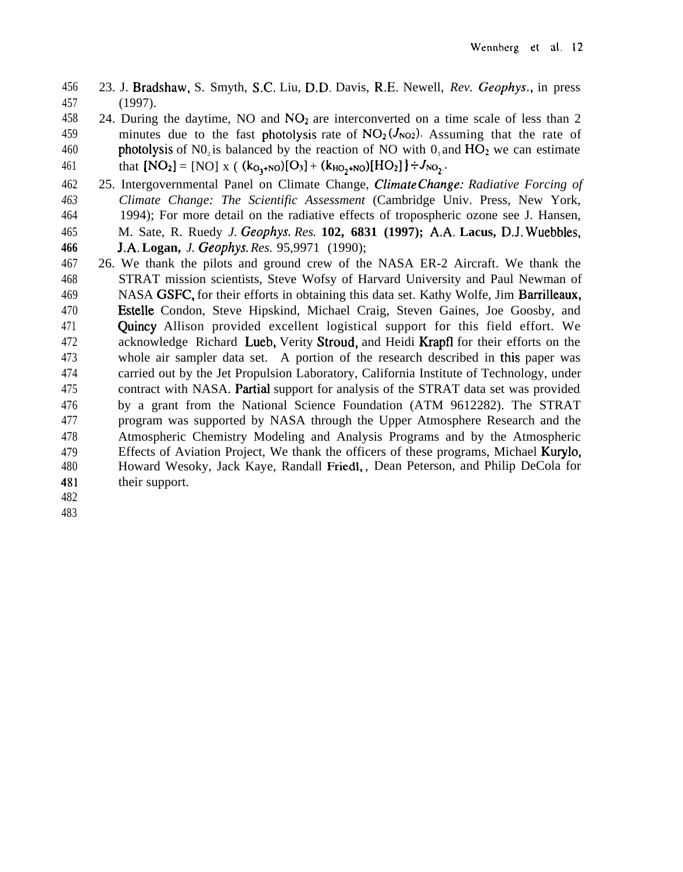- 23. J. Bradshaw, S. Smyth, S.C. Liu, D.D. Davis, R.E. Newell, *Rev. Geophys.,* in press (1997).
- 458 24. During the daytime, NO and  $NO<sub>2</sub>$  are interconverted on a time scale of less than 2 459 minutes due to the fast photolysis rate of  $NO_2 (J_{NO2})$ . Assuming that the rate of 460 photolysis of N0<sub>2</sub> is balanced by the reaction of NO with  $0_3$  and  $HO_2$  we can estimate 461 that  $[NO_2] = [NO] x ( (k_{O_1+NO})[O_3] + (k_{HO_2+NO})[HO_2] + J_{NO_2}.$
- 25. Intergovernmental Panel on Climate Change, Climate Change: *Radiative Forcing of Climate Change: The Scientific Assessment* (Cambridge Univ. Press, New York, 1994); For more detail on the radiative effects of tropospheric ozone see J. Hansen, M. Sate, R. Ruedy *J. Geophys. Res.* **102, 6831 (1997); A.A. Lacus, D.J. Wuebbles,**
- **J.A. Logan,** *J. Geophys. Res.* 95,9971 (1990);
- 26. We thank the pilots and ground crew of the NASA ER-2 Aircraft. We thank the STRAT mission scientists, Steve Wofsy of Harvard University and Paul Newman of NASA GSFC, for their efforts in obtaining this data set. Kathy Wolfe, Jim Barrilleaux, **Estelle** Condon, Steve Hipskind, Michael Craig, Steven Gaines, Joe Goosby, and Quincy Allison provided excellent logistical support for this field effort. We acknowledge Richard Lueb, Verity Stroud, and Heidi Krapfl for their efforts on the whole air sampler data set. A portion of the research described in this paper was carried out by the Jet Propulsion Laboratory, California Institute of Technology, under contract with NASA. Pantial support for analysis of the STRAT data set was provided by a grant from the National Science Foundation (ATM 9612282). The STRAT program was supported by NASA through the Upper Atmosphere Research and the Atmospheric Chemistry Modeling and Analysis Programs and by the Atmospheric 479 Effects of Aviation Project, We thank the officers of these programs, Michael Kurylo, Howard Wesoky, Jack Kaye, Randall Friedl, , Dean Peterson, and Philip DeCola for their support.
- 
-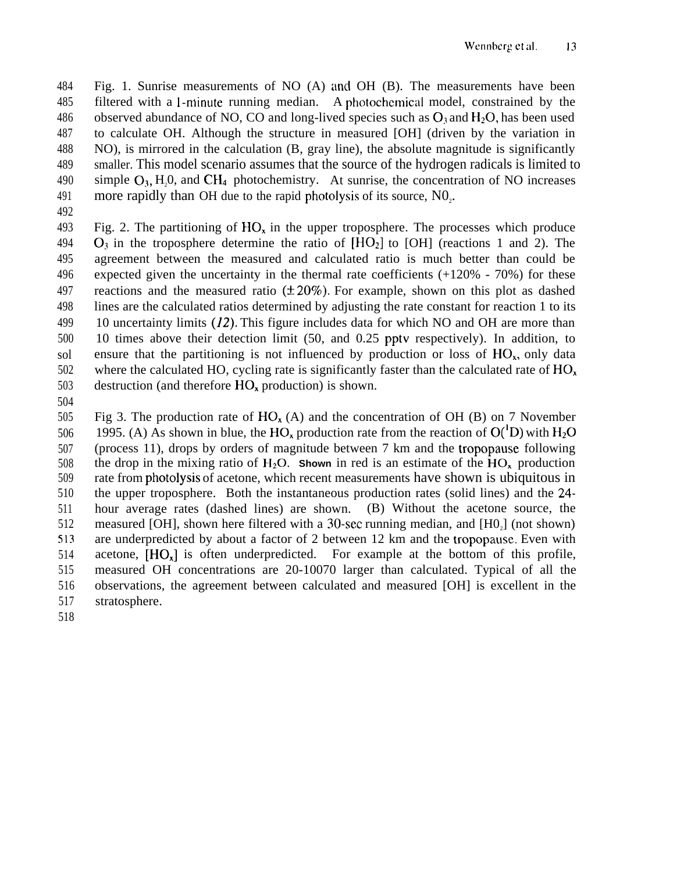484 485 486 487 488 489 490 491 Fig. 1. Sunrise measurements of NO (A) and OH (B). The measurements have been filtered with a 1-minute running median. A photochemical model, constrained by the observed abundance of NO, CO and long-lived species such as  $O_3$  and  $H_2O$ , has been used to calculate OH. Although the structure in measured [OH] (driven by the variation in NO), is mirrored in the calculation (B, gray line), the absolute magnitude is significantly smaller. This model scenario assumes that the source of the hydrogen radicals is limited to simple  $O_3$ , H,0, and CH<sub>4</sub> photochemistry. At sunrise, the concentration of NO increases more rapidly than OH due to the rapid photolysis of its source,  $N_0$ .

492

493 494 495 496 497 498 499 500 sol 502 503 Fig. 2. The partitioning of  $HO<sub>x</sub>$  in the upper troposphere. The processes which produce  $O_3$  in the troposphere determine the ratio of  $[HO_2]$  to  $[OH]$  (reactions 1 and 2). The agreement between the measured and calculated ratio is much better than could be expected given the uncertainty in the thermal rate coefficients (+120% - 70%) for these reactions and the measured ratio  $(\pm 20\%)$ . For example, shown on this plot as dashed lines are the calculated ratios determined by adjusting the rate constant for reaction 1 to its 10 uncertainty limits (12). This figure includes data for which NO and OH are more than 10 times above their detection limit (50, and 0.25 pptv respectively). In addition, to ensure that the partitioning is not influenced by production or loss of  $HO<sub>x</sub>$ , only data where the calculated HO, cycling rate is significantly faster than the calculated rate of  $HO<sub>x</sub>$ destruction (and therefore HO, production) is shown.

504

505 506 507 508 509 510 511 512 513 514 515 516 517 Fig 3. The production rate of  $HO_{x}(A)$  and the concentration of OH (B) on 7 November 1995. (A) As shown in blue, the HO<sub>x</sub> production rate from the reaction of  $O(^1D)$  with H<sub>2</sub>O (process 11), drops by orders of magnitude between 7 km and the tropopause following the drop in the mixing ratio of  $H_2O$ . **Shown** in red is an estimate of the  $HO_x$  production rate from photolysis of acetone, which recent measurements have shown is ubiquitous in the upper troposphere. Both the instantaneous production rates (solid lines) and the 24 hour average rates (dashed lines) are shown. (B) Without the acetone source, the measured [OH], shown here filtered with a 30-sec running median, and  $[H0<sub>2</sub>]$  (not shown) are underpredicted by about a factor of 2 between 12 km and the tropopause. Even with acetone,  $[HO_x]$  is often underpredicted. For example at the bottom of this profile, measured OH concentrations are 20-10070 larger than calculated. Typical of all the observations, the agreement between calculated and measured [OH] is excellent in the stratosphere.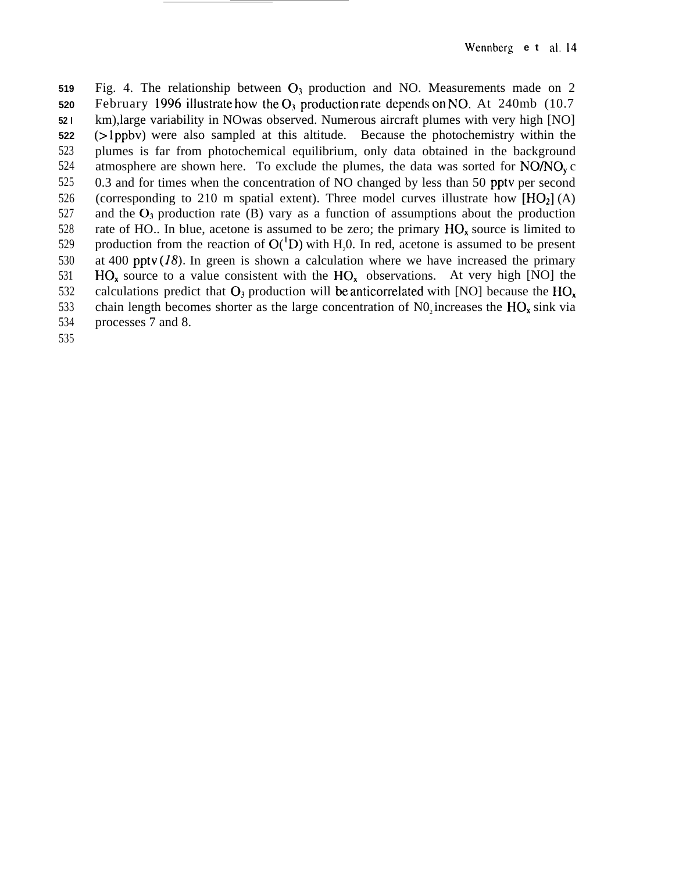**519 520 52 I 522** 523 524 525 526 527 528 529 530 531 532 533 534 Fig. 4. The relationship between  $O_3$  production and NO. Measurements made on 2 February 1996 illustrate how the  $O_3$  production rate depends on NO. At 240mb (10.7) km),large variability in NOwas observed. Numerous aircraft plumes with very high [NO] (> lppbv) were also sampled at this altitude. Because the photochemistry within the plumes is far from photochemical equilibrium, only data obtained in the background atmosphere are shown here. To exclude the plumes, the data was sorted for  $NO/NO<sub>v</sub>$  c 0.3 and for times when the concentration of NO changed by less than 50 pptv per second (corresponding to 210 m spatial extent). Three model curves illustrate how  $[HO<sub>2</sub>] (A)$ and the  $O_3$  production rate (B) vary as a function of assumptions about the production rate of HO.. In blue, acetone is assumed to be zero; the primary  $HO_x$  source is limited to production from the reaction of  $O(^1D)$  with H<sub>2</sub>0. In red, acetone is assumed to be present at 400 ppty  $(I8)$ . In green is shown a calculation where we have increased the primary  $HO_x$  source to a value consistent with the  $HO_y$  observations. At very high [NO] the calculations predict that  $O_3$  production will be anticorrelated with [NO] because the  $HO<sub>x</sub>$ chain length becomes shorter as the large concentration of  $NO<sub>2</sub>$  increases the  $HO<sub>x</sub>$  sink via processes 7 and 8.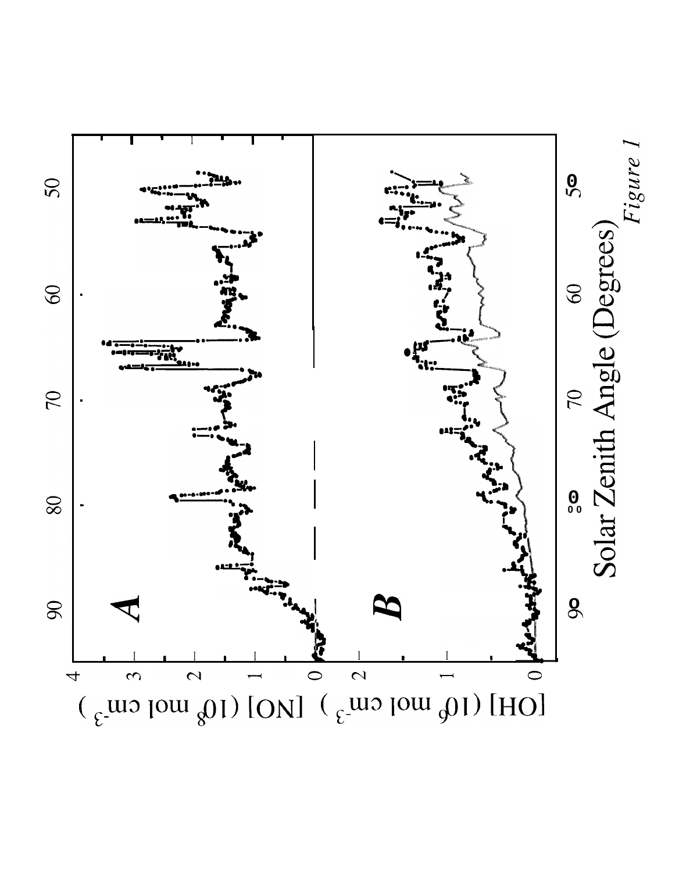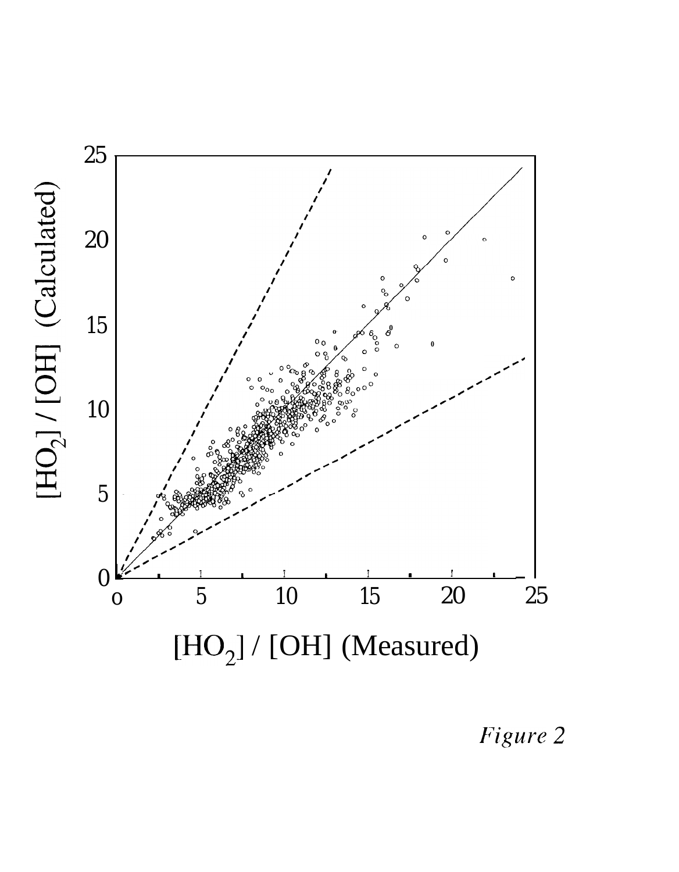

Figure 2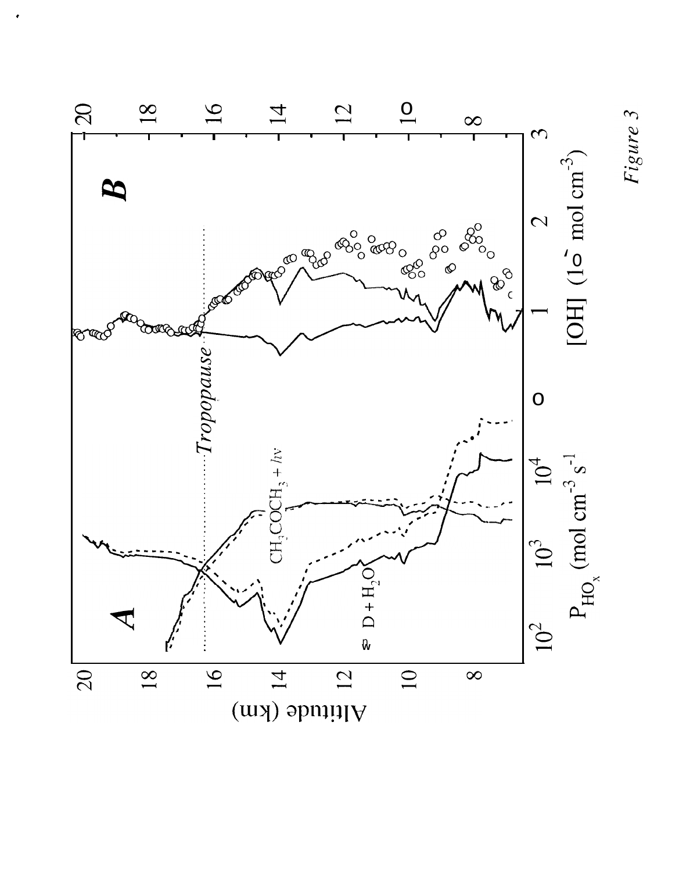

Altitude (km)

Figure 3